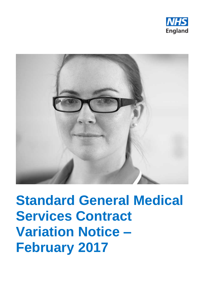



# **Standard General Medical Services Contract Variation Notice – February 2017**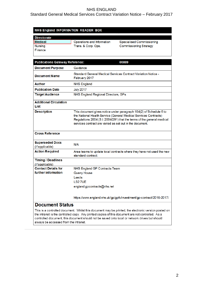## Standard General Medical Services Contract Variation Notice – February 2017

#### NHS England INFORMATION READER BOX

| <b>Directorate</b> |                            |                               |
|--------------------|----------------------------|-------------------------------|
| Medical            | Operations and Information | Specialised Commissioning     |
| Nursing            | Trans. & Corp. Ops.        | <b>Commissioning Strategy</b> |
| l Finance          |                            |                               |

| <b>Publications Gateway Reference:</b><br>06889 |                                                                                                                                                                                                                                                                              |  |
|-------------------------------------------------|------------------------------------------------------------------------------------------------------------------------------------------------------------------------------------------------------------------------------------------------------------------------------|--|
| <b>Document Purpose</b>                         | Guidance                                                                                                                                                                                                                                                                     |  |
| <b>Document Name</b>                            | Standard General Medical Services Contract Variation Notice -<br>February 2017                                                                                                                                                                                               |  |
| <b>Author</b>                                   | <b>NHS England</b>                                                                                                                                                                                                                                                           |  |
| <b>Publication Date</b>                         | <b>July 2017</b>                                                                                                                                                                                                                                                             |  |
| <b>Target Audience</b>                          | NHS England Regional Directors, GPs                                                                                                                                                                                                                                          |  |
| <b>Additional Circulation</b><br>List           |                                                                                                                                                                                                                                                                              |  |
| <b>Description</b>                              | This document gives notice under paragraph 104(2) of Schedule 6 to<br>the National Health Service (General Medical Services Contracts)<br>Regulations 2004 (S.l. 2004/291) that the terms of the general medical<br>services contract are varied as set out in the document. |  |
| <b>Cross Reference</b>                          |                                                                                                                                                                                                                                                                              |  |
| <b>Superseded Docs</b><br>(if applicable)       | N/A                                                                                                                                                                                                                                                                          |  |
| <b>Action Required</b>                          | Area teams to update local contracts where they have not used the new<br>standard contract.                                                                                                                                                                                  |  |
| <b>Timing / Deadlines</b><br>(if applicable)    |                                                                                                                                                                                                                                                                              |  |
| <b>Contact Details for</b>                      | NHS England GP Contracts Team                                                                                                                                                                                                                                                |  |
| further information                             | <b>Quarry House</b>                                                                                                                                                                                                                                                          |  |
|                                                 | Leeds                                                                                                                                                                                                                                                                        |  |
|                                                 | LS27UE                                                                                                                                                                                                                                                                       |  |
|                                                 | england.gpcontracts@nhs.net                                                                                                                                                                                                                                                  |  |
| aumant Ctatua                                   | https://www.england.nhs.uk/gp/gpfv/investment/gp-contract/2016-2017/                                                                                                                                                                                                         |  |

#### **Document Status**

This is a controlled document. Whilst this document may be printed, the electronic version posted on the intranet is the controlled copy. Any printed copies of this document are not controlled. As a controlled document, this document should not be saved onto local or network drives but should always be accessed from the intranet.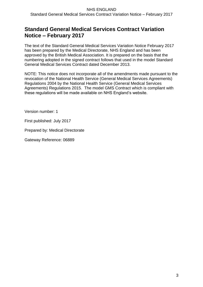## **Standard General Medical Services Contract Variation Notice – February 2017**

The text of the Standard General Medical Services Variation Notice February 2017 has been prepared by the Medical Directorate, NHS England and has been approved by the British Medical Association. It is prepared on the basis that the numbering adopted in the signed contract follows that used in the model Standard General Medical Services Contract dated December 2013.

NOTE: This notice does not incorporate all of the amendments made pursuant to the revocation of the National Health Service (General Medical Services Agreements) Regulations 2004 by the National Health Service (General Medical Services Agreements) Regulations 2015. The model GMS Contract which is compliant with these regulations will be made available on NHS England's website.

Version number: 1

First published: July 2017

Prepared by: Medical Directorate

Gateway Reference: 06889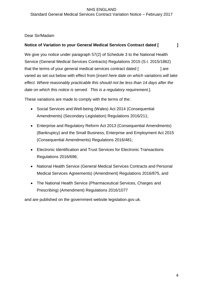#### NHS ENGLAND Standard General Medical Services Contract Variation Notice – February 2017

## Dear Sir/Madam

## **Notice of Variation to your General Medical Services Contract dated [ ]**

We give you notice under paragraph 57(2) of Schedule 3 to the National Health Service (General Medical Services Contracts) Regulations 2015 (S.I. 2015/1862) that the terms of your general medical services contract dated [  $\qquad \qquad$  ] are varied as set out below with effect from [*insert here date on which variations will take effect. Where reasonably practicable this should not be less than 14 days after the date on which this notice is served. This is a regulatory requirement.*].

These variations are made to comply with the terms of the:

- Social Services and Well-being (Wales) Act 2014 (Consequential Amendments) (Secondary Legislation) Regulations 2016/211;
- Enterprise and Regulatory Reform Act 2013 (Consequential Amendments) (Bankruptcy) and the Small Business, Enterprise and Employment Act 2015 (Consequential Amendments) Regulations 2016/481;
- Electronic Identification and Trust Services for Electronic Transactions Regulations 2016/696;
- National Health Service (General Medical Services Contracts and Personal Medical Services Agreements) (Amendment) Regulations 2016/875, and
- The National Health Service (Pharmaceutical Services, Charges and Prescribing) (Amendment) Regulations 2016/1077

and are published on the government website legislation.gov.uk.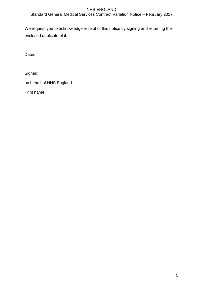Standard General Medical Services Contract Variation Notice – February 2017

We request you to acknowledge receipt of this notice by signing and returning the enclosed duplicate of it.

Dated:

Signed:

on behalf of NHS England

Print name: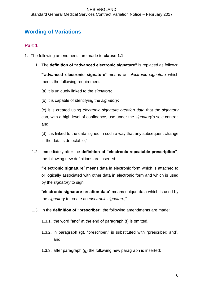## **Wording of Variations**

## **Part 1**

- 1. The following amendments are made to **clause 1.1**:
	- 1.1. The **definition of "advanced electronic signature"** is replaced as follows:

""**advanced electronic signature**" means an *electronic signature* which meets the following requirements:

(a) it is uniquely linked to the *signatory*;

(b) it is capable of identifying the *signatory*;

(c) it is created using *electronic signature creation data* that the *signatory* can, with a high level of confidence, use under the *signatory's* sole control; and

(d) it is linked to the data signed in such a way that any subsequent change in the data is detectable;"

1.2. Immediately after the **definition of "electronic repeatable prescription"**, the following new definitions are inserted:

""**electronic signature**" means data in electronic form which is attached to or logically associated with other data in electronic form and which is used by the *signatory* to sign;

"**electronic signature creation data**" means unique data which is used by the *signatory* to create an *electronic signature*;"

- 1.3. In the **definition of "prescriber"** the following amendments are made:
	- 1.3.1. the word "and" at the end of paragraph (f) is omitted,
	- 1.3.2. in paragraph (g), "prescriber," is substituted with "prescriber; and", and
	- 1.3.3. after paragraph (g) the following new paragraph is inserted: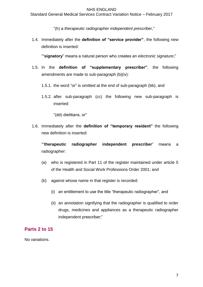"(h) a *therapeutic radiographer independent prescriber*,"

1.4. Immediately after the **definition of "service provider"**, the following new definition is inserted:

""**signatory**" means a natural person who creates an *electronic signature*;"

- 1.5. In the **definition of "supplementary prescriber"**, the following amendments are made to sub-paragraph (b)(iv):
	- 1.5.1. the word "or" is omitted at the end of sub-paragraph (bb), and
	- 1.5.2. after sub-paragraph (cc) the following new sub-paragraph is inserted:

"(dd) dietitians, or"

1.6. Immediately after the **definition of "temporary resident"** the following new definition is inserted:

""**therapeutic radiographer independent prescriber**" means a radiographer:

- (a) who is registered in Part 11 of the register maintained under article 5 of the Health and Social Work Professions Order 2001; and
- (b) against whose name in that register is recorded:
	- (i) an entitlement to use the title "therapeutic radiographer", and
	- (ii) an annotation signifying that the radiographer is qualified to order drugs, medicines and appliances as a therapeutic radiographer independent prescriber;"

## **Parts 2 to 15**

No variations.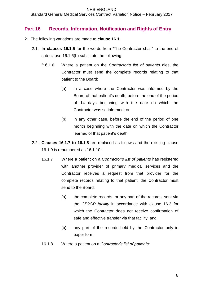Standard General Medical Services Contract Variation Notice – February 2017

## **Part 16 Records, Information, Notification and Rights of Entry**

- 2. The following variations are made to **clause 16.1**:
	- 2.1. **In clauses 16.1.6** for the words from "The Contractor shall" to the end of sub-clause 16.1.6(b) substitute the following:
		- "16.1.6 Where a patient on the *Contractor's list of patients* dies, the Contractor must send the complete records relating to that patient to the Board:
			- (a) in a case where the Contractor was informed by the Board of that patient's death, before the end of the period of 14 days beginning with the date on which the Contractor was so informed; or
			- (b) in any other case, before the end of the period of one month beginning with the date on which the Contractor learned of that patient's death.
	- 2.2. **Clauses 16.1.7 to 16.1.8** are replaced as follows and the existing clause 16.1.9 is renumbered as 16.1.10:
		- 16.1.7 Where a patient on a *Contractor's list of patients* has registered with another provider of primary medical services and the Contractor receives a request from that provider for the complete records relating to that patient, the Contractor must send to the Board:
			- (a) the complete records, or any part of the records, sent via the *GP2GP facility* in accordance with clause 16.3 for which the Contractor does not receive confirmation of safe and effective transfer via that facility; and
			- (b) any part of the records held by the Contractor only in paper form.
		- 16.1.8 Where a patient on a *Contractor's list of patients*: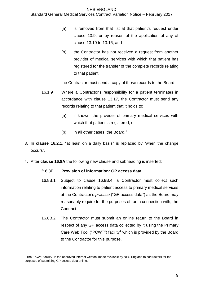#### Standard General Medical Services Contract Variation Notice – February 2017

- (a) is removed from that list at that patient's request under clause 13.9, or by reason of the application of any of clause 13.10 to 13.16; and
- (b) the Contractor has not received a request from another provider of medical services with which that patient has registered for the transfer of the complete records relating to that patient,

the Contractor must send a copy of those records to the Board.

- 16.1.9 Where a Contractor's responsibility for a patient terminates in accordance with clause 13.17, the Contractor must send any records relating to that patient that it holds to:
	- (a) if known, the provider of primary medical services with which that patient is registered; or
	- (b) in all other cases, the Board."
- 3. In **clause 16.2.1**, "at least on a daily basis" is replaced by "when the change occurs".
- 4. After **clause 16.8A** the following new clause and subheading is inserted:

#### "16.8B **Provision of information: GP access data**

- 16.8B.1 Subject to clause 16.8B.4, a Contractor must collect such information relating to patient access to primary medical services at the Contractor's *practice* ("GP access data") as the Board may reasonably require for the purposes of, or in connection with, the Contract.
- 16.8B.2 The Contractor must submit an online return to the Board in respect of any GP access data collected by it using the Primary Care Web Tool ("PCWT") facility<sup>1</sup> which is provided by the Board to the Contractor for this purpose.

1

 $1$  The "PCWT facility" is the approved internet webtool made available by NHS England to contractors for the purposes of submitting GP access data online.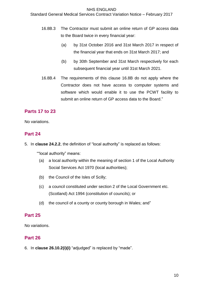Standard General Medical Services Contract Variation Notice – February 2017

- 16.8B.3 The Contractor must submit an online return of GP access data to the Board twice in every financial year:
	- (a) by 31st October 2016 and 31st March 2017 in respect of the financial year that ends on 31st March 2017; and
	- (b) by 30th September and 31st March respectively for each subsequent financial year until 31st March 2021.
- 16.8B.4 The requirements of this clause 16.8B do not apply where the Contractor does not have access to computer systems and software which would enable it to use the PCWT facility to submit an online return of GP access data to the Board."

## **Parts 17 to 23**

No variations.

## **Part 24**

5. In **clause 24.2.2**, the definition of "local authority" is replaced as follows:

""local authority" means:

- (a) a local authority within the meaning of section 1 of the Local Authority Social Services Act 1970 (local authorities);
- (b) the Council of the Isles of Scilly;
- (c) a council constituted under section 2 of the Local Government etc. (Scotland) Act 1994 (constitution of councils); or
- (d) the council of a county or county borough in Wales; and"

## **Part 25**

No variations.

## **Part 26**

6. In **clause 26.10.2(i)(i)** "adjudged" is replaced by "made".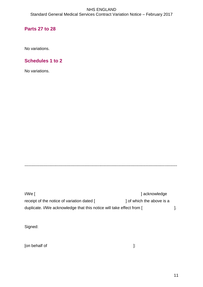## **Parts 27 to 28**

No variations.

## **Schedules 1 to 2**

No variations.

----------------------------------------------------------------------------------------------------------------

I/We [ ] acknowledge receipt of the notice of variation dated [ ] of which the above is a duplicate. I/We acknowledge that this notice will take effect from [  $\qquad \qquad$  ].

Signed:

[on behalf of  $\qquad \qquad$  ]: